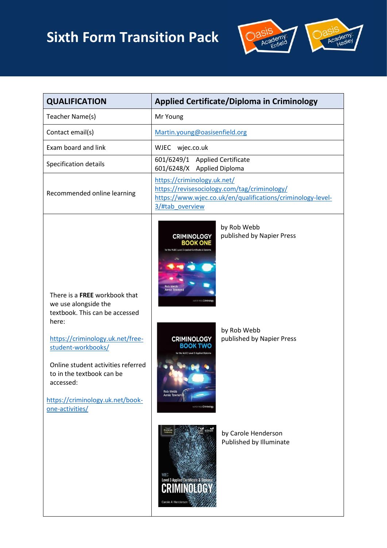# **Sixth Form Transition Pack**



| <b>QUALIFICATION</b>                                                                                                                                                                                                                              | <b>Applied Certificate/Diploma in Criminology</b>                                                                                                                                                                  |  |
|---------------------------------------------------------------------------------------------------------------------------------------------------------------------------------------------------------------------------------------------------|--------------------------------------------------------------------------------------------------------------------------------------------------------------------------------------------------------------------|--|
| Teacher Name(s)                                                                                                                                                                                                                                   | Mr Young                                                                                                                                                                                                           |  |
| Contact email(s)                                                                                                                                                                                                                                  | Martin.young@oasisenfield.org                                                                                                                                                                                      |  |
| Exam board and link                                                                                                                                                                                                                               | wjec.co.uk<br>WJEC                                                                                                                                                                                                 |  |
| Specification details                                                                                                                                                                                                                             | 601/6249/1 Applied Certificate<br>601/6248/X Applied Diploma                                                                                                                                                       |  |
| Recommended online learning                                                                                                                                                                                                                       | https://criminology.uk.net/<br>https://revisesociology.com/tag/criminology/<br>https://www.wjec.co.uk/en/qualifications/criminology-level-<br>3/#tab overview                                                      |  |
| There is a <b>FREE</b> workbook that<br>we use alongside the<br>textbook. This can be accessed<br>here:<br>https://criminology.uk.net/free-<br>student-workbooks/<br>Online student activities referred<br>to in the textbook can be<br>accessed: | by Rob Webb<br>published by Napier Press<br><b>CRIMINOLOGY</b><br>ROOK ONE<br>for the WJEC Level 3 Applied Certificate &<br><b>Annie Townenc</b><br>by Rob Webb<br>published by Napier Press<br><b>CRIMINOLOGY</b> |  |
| https://criminology.uk.net/book-<br>one-activities/                                                                                                                                                                                               | <b>Rob Webb</b><br>Annie Townend<br><b>YFR PRESS Crim</b><br>by Carole Henderson<br>Published by Illuminate<br>WJEC<br>Level 3 Applied Certificate & Diploma<br>CRIMINOLOG<br>Carole A Henderson                   |  |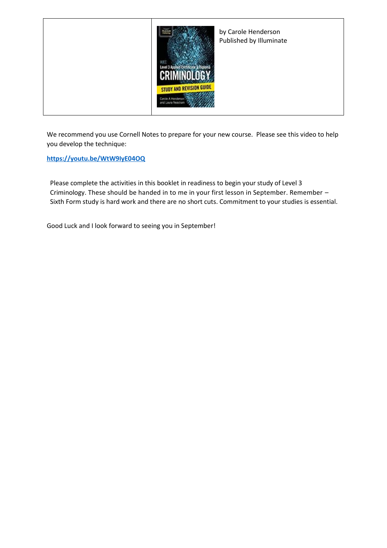

We recommend you use Cornell Notes to prepare for your new course. Please see this video to help you develop the technique:

**<https://youtu.be/WtW9IyE04OQ>**

Please complete the activities in this booklet in readiness to begin your study of Level 3 Criminology. These should be handed in to me in your first lesson in September. Remember – Sixth Form study is hard work and there are no short cuts. Commitment to your studies is essential.

Good Luck and I look forward to seeing you in September!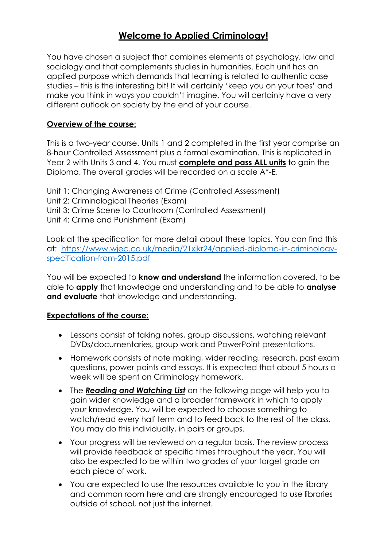# **Welcome to Applied Criminology!**

You have chosen a subject that combines elements of psychology, law and sociology and that complements studies in humanities. Each unit has an applied purpose which demands that learning is related to authentic case studies – this is the interesting bit! It will certainly 'keep you on your toes' and make you think in ways you couldn't imagine. You will certainly have a very different outlook on society by the end of your course.

#### **Overview of the course:**

This is a two-year course. Units 1 and 2 completed in the first year comprise an 8-hour Controlled Assessment plus a formal examination. This is replicated in Year 2 with Units 3 and 4. You must **complete and pass ALL units** to gain the Diploma. The overall grades will be recorded on a scale A\*-E.

Unit 1: Changing Awareness of Crime (Controlled Assessment) Unit 2: Criminological Theories (Exam) Unit 3: Crime Scene to Courtroom (Controlled Assessment) Unit 4: Crime and Punishment (Exam)

Look at the specification for more detail about these topics. You can find this at: [https://www.wjec.co.uk/media/21xjkr24/applied-diploma-in-criminology](https://www.wjec.co.uk/media/21xjkr24/applied-diploma-in-criminology-specification-from-2015.pdf)[specification-from-2015.pdf](https://www.wjec.co.uk/media/21xjkr24/applied-diploma-in-criminology-specification-from-2015.pdf)

You will be expected to **know and understand** the information covered, to be able to **apply** that knowledge and understanding and to be able to **analyse and evaluate** that knowledge and understanding.

#### **Expectations of the course:**

- Lessons consist of taking notes, group discussions, watching relevant DVDs/documentaries, group work and PowerPoint presentations.
- Homework consists of note making, wider reading, research, past exam questions, power points and essays. It is expected that about 5 hours a week will be spent on Criminology homework.
- The *Reading and Watching List* on the following page will help you to gain wider knowledge and a broader framework in which to apply your knowledge. You will be expected to choose something to watch/read every half term and to feed back to the rest of the class. You may do this individually, in pairs or groups.
- Your progress will be reviewed on a regular basis. The review process will provide feedback at specific times throughout the year. You will also be expected to be within two grades of your target grade on each piece of work.
- You are expected to use the resources available to you in the library and common room here and are strongly encouraged to use libraries outside of school, not just the internet.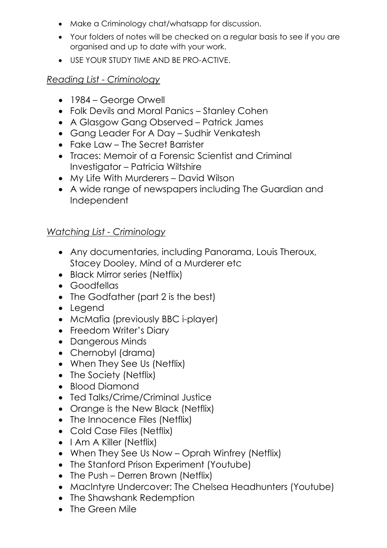- Make a Criminology chat/whatsapp for discussion.
- Your folders of notes will be checked on a regular basis to see if you are organised and up to date with your work.
- USE YOUR STUDY TIME AND BE PRO-ACTIVE.

# *Reading List - Criminology*

- 1984 George Orwell
- Folk Devils and Moral Panics Stanley Cohen
- A Glasgow Gang Observed Patrick James
- Gang Leader For A Day Sudhir Venkatesh
- Fake Law The Secret Barrister
- Traces: Memoir of a Forensic Scientist and Criminal Investigator – Patricia Wiltshire
- My Life With Murderers David Wilson
- A wide range of newspapers including The Guardian and Independent

# *Watching List - Criminology*

- Any documentaries, including Panorama, Louis Theroux, Stacey Dooley, Mind of a Murderer etc
- Black Mirror series (Netflix)
- Goodfellas
- The Godfather (part 2 is the best)
- Legend
- McMafia (previously BBC i-player)
- Freedom Writer's Diary
- Dangerous Minds
- Chernobyl (drama)
- When They See Us (Netflix)
- The Society (Netflix)
- Blood Diamond
- Ted Talks/Crime/Criminal Justice
- Orange is the New Black (Netflix)
- The Innocence Files (Netflix)
- Cold Case Files (Netflix)
- I Am A Killer (Netflix)
- When They See Us Now Oprah Winfrey (Netflix)
- The Stanford Prison Experiment (Youtube)
- The Push Derren Brown (Netflix)
- MacIntyre Undercover: The Chelsea Headhunters (Youtube)
- The Shawshank Redemption
- The Green Mile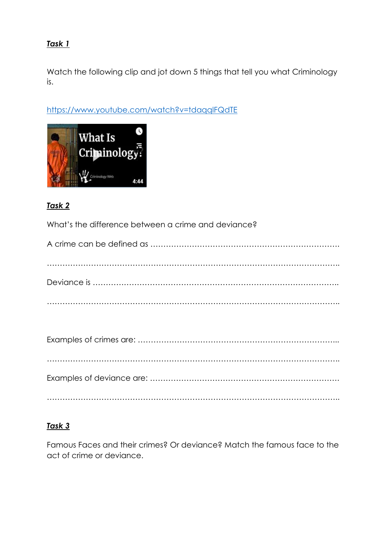#### *Task 1*

Watch the following clip and jot down 5 things that tell you what Criminology is.

<https://www.youtube.com/watch?v=tdaqqlFQdTE>



#### *Task 2*

What's the difference between a crime and deviance?

#### *Task 3*

Famous Faces and their crimes? Or deviance? Match the famous face to the act of crime or deviance.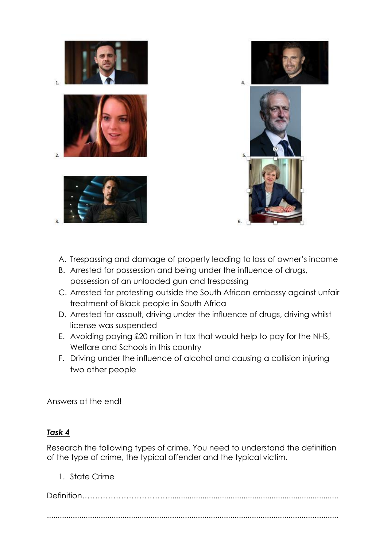



- A. Trespassing and damage of property leading to loss of owner's income
- B. Arrested for possession and being under the influence of drugs, possession of an unloaded gun and trespassing
- C. Arrested for protesting outside the South African embassy against unfair treatment of Black people in South Africa
- D. Arrested for assault, driving under the influence of drugs, driving whilst license was suspended
- E. Avoiding paying £20 million in tax that would help to pay for the NHS, Welfare and Schools in this country
- F. Driving under the influence of alcohol and causing a collision injuring two other people

Answers at the end!

#### *Task 4*

Research the following types of crime. You need to understand the definition of the type of crime, the typical offender and the typical victim.

1. State Crime

Definition……………………………...............................................................................

.......................................................................................................................................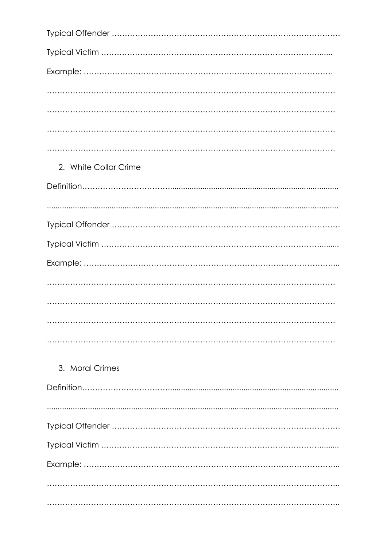| 2. White Collar Crime |
|-----------------------|
|                       |
|                       |
|                       |
|                       |
|                       |
|                       |
|                       |
|                       |
|                       |
|                       |
| 3. Moral Crimes       |
|                       |
|                       |
|                       |
|                       |
|                       |
|                       |
|                       |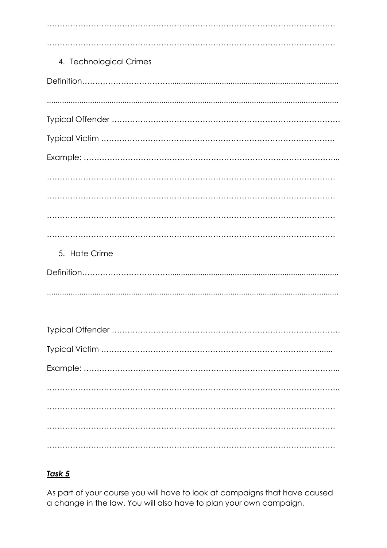| 4. Technological Crimes |
|-------------------------|
|                         |
|                         |
|                         |
|                         |
|                         |
|                         |
|                         |
|                         |
|                         |
| 5. Hate Crime           |
|                         |
|                         |
|                         |
|                         |
|                         |
|                         |
|                         |
|                         |
|                         |
|                         |

# Task 5

As part of your course you will have to look at campaigns that have caused a change in the law. You will also have to plan your own campaign.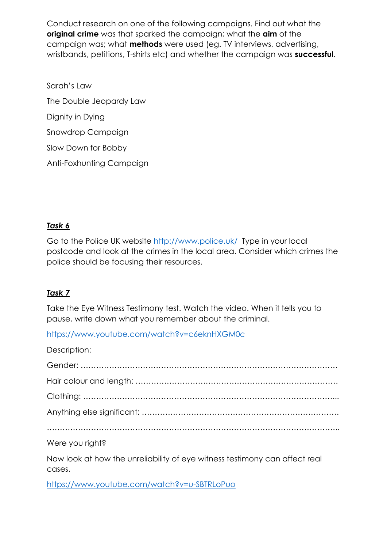Conduct research on one of the following campaigns. Find out what the **original crime** was that sparked the campaign; what the **aim** of the campaign was; what **methods** were used (eg. TV interviews, advertising, wristbands, petitions, T-shirts etc) and whether the campaign was **successful**.

Sarah's Law The Double Jeopardy Law Dignity in Dying Snowdrop Campaign Slow Down for Bobby Anti-Foxhunting Campaign

#### *Task 6*

Go to the Police UK website<http://www.police.uk/> Type in your local postcode and look at the crimes in the local area. Consider which crimes the police should be focusing their resources.

#### *Task 7*

cases.

Take the Eye Witness Testimony test. Watch the video. When it tells you to pause, write down what you remember about the criminal.

<https://www.youtube.com/watch?v=c6eknHXGM0c>

| Description:                                                               |
|----------------------------------------------------------------------------|
|                                                                            |
|                                                                            |
|                                                                            |
|                                                                            |
|                                                                            |
| Were you right?                                                            |
| Now look at how the unreliability of eye witness testimony can affect real |

<https://www.youtube.com/watch?v=u-SBTRLoPuo>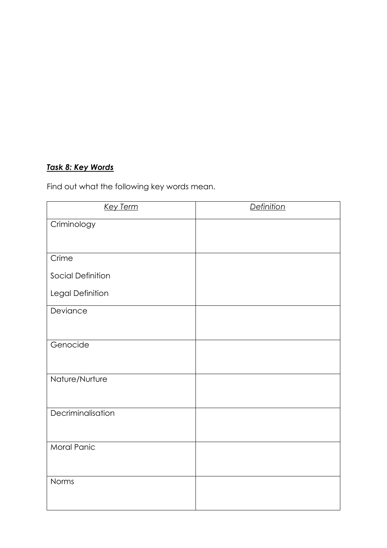#### *Task 8: Key Words*

Find out what the following key words mean.

| <b>Key Term</b>          | <b>Definition</b> |
|--------------------------|-------------------|
| Criminology              |                   |
|                          |                   |
| Crime                    |                   |
| <b>Social Definition</b> |                   |
| Legal Definition         |                   |
| Deviance                 |                   |
|                          |                   |
| Genocide                 |                   |
|                          |                   |
| Nature/Nurture           |                   |
|                          |                   |
| Decriminalisation        |                   |
|                          |                   |
| <b>Moral Panic</b>       |                   |
|                          |                   |
| Norms                    |                   |
|                          |                   |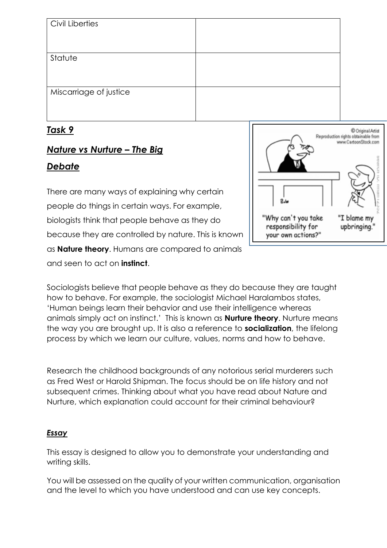| Civil Liberties        |  |
|------------------------|--|
|                        |  |
| Statute                |  |
|                        |  |
| Miscarriage of justice |  |
|                        |  |
|                        |  |

# *Task 9*

# *Nature vs Nurture – The Big*

# *Debate*

There are many ways of explaining why certain people do things in certain ways. For example, biologists think that people behave as they do because they are controlled by nature. This is known as **Nature theory**. Humans are compared to animals and seen to act on **instinct**.



Sociologists believe that people behave as they do because they are taught how to behave. For example, the sociologist Michael Haralambos states, 'Human beings learn their behavior and use their intelligence whereas animals simply act on instinct.' This is known as **Nurture theory**. Nurture means the way you are brought up. It is also a reference to **socialization**, the lifelong process by which we learn our culture, values, norms and how to behave.

Research the childhood backgrounds of any notorious serial murderers such as Fred West or Harold Shipman. The focus should be on life history and not subsequent crimes. Thinking about what you have read about Nature and Nurture, which explanation could account for their criminal behaviour?

#### *Essay*

This essay is designed to allow you to demonstrate your understanding and writing skills.

You will be assessed on the quality of your written communication, organisation and the level to which you have understood and can use key concepts.